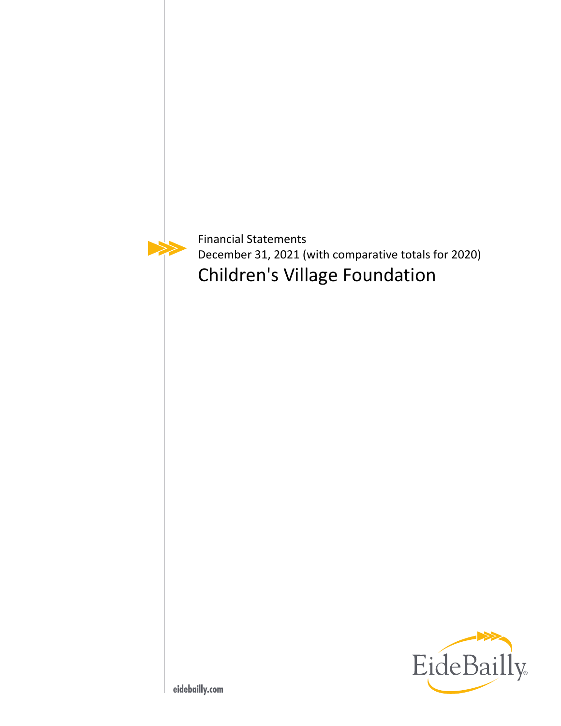

Financial Statements December 31, 2021 (with comparative totals for 2020) Children's Village Foundation

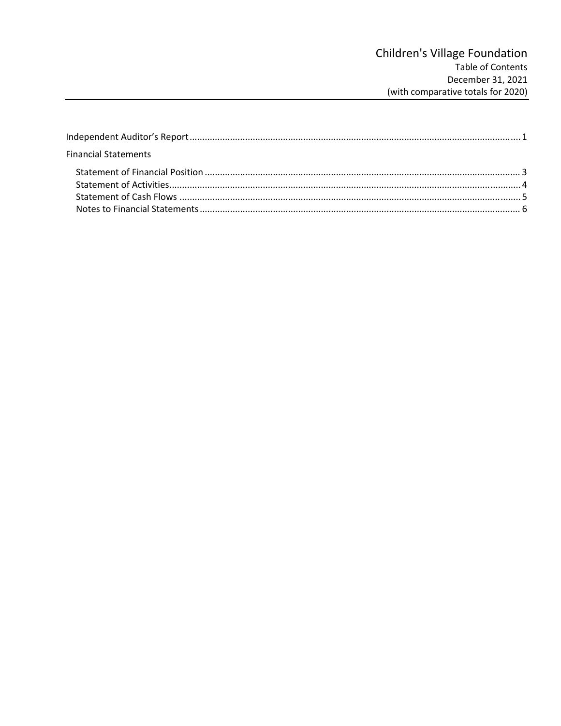| <b>Financial Statements</b> |  |
|-----------------------------|--|
|                             |  |
|                             |  |
|                             |  |
|                             |  |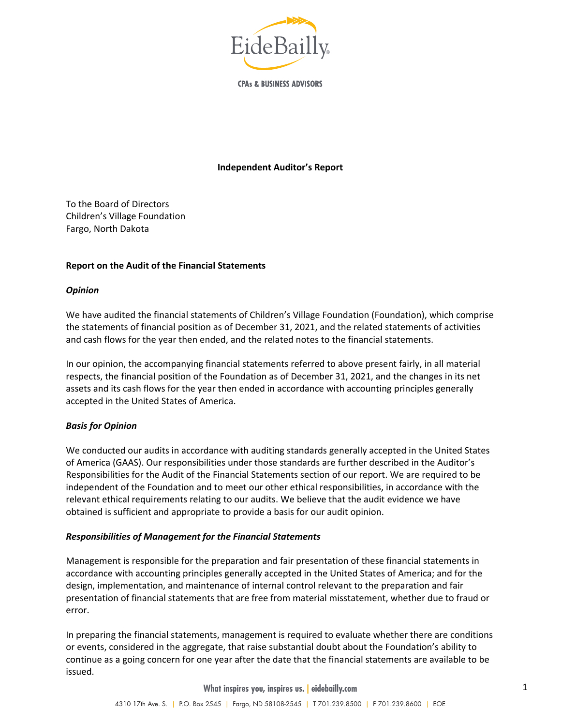

**CPAs & BUSINESS ADVISORS** 

#### **Independent Auditor's Report**

To the Board of Directors Children's Village Foundation Fargo, North Dakota

#### **Report on the Audit of the Financial Statements**

#### *Opinion*

We have audited the financial statements of Children's Village Foundation (Foundation), which comprise the statements of financial position as of December 31, 2021, and the related statements of activities and cash flows for the year then ended, and the related notes to the financial statements.

In our opinion, the accompanying financial statements referred to above present fairly, in all material respects, the financial position of the Foundation as of December 31, 2021, and the changes in its net assets and its cash flows for the year then ended in accordance with accounting principles generally accepted in the United States of America.

## *Basis for Opinion*

We conducted our audits in accordance with auditing standards generally accepted in the United States of America (GAAS). Our responsibilities under those standards are further described in the Auditor's Responsibilities for the Audit of the Financial Statements section of our report. We are required to be independent of the Foundation and to meet our other ethical responsibilities, in accordance with the relevant ethical requirements relating to our audits. We believe that the audit evidence we have obtained is sufficient and appropriate to provide a basis for our audit opinion.

#### *Responsibilities of Management for the Financial Statements*

Management is responsible for the preparation and fair presentation of these financial statements in accordance with accounting principles generally accepted in the United States of America; and for the design, implementation, and maintenance of internal control relevant to the preparation and fair presentation of financial statements that are free from material misstatement, whether due to fraud or error.

In preparing the financial statements, management is required to evaluate whether there are conditions or events, considered in the aggregate, that raise substantial doubt about the Foundation's ability to continue as a going concern for one year after the date that the financial statements are available to be issued.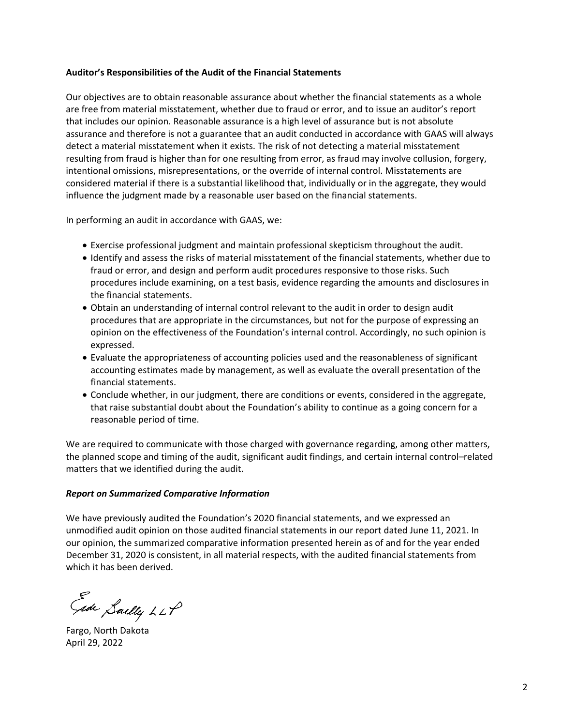## **Auditor's Responsibilities of the Audit of the Financial Statements**

Our objectives are to obtain reasonable assurance about whether the financial statements as a whole are free from material misstatement, whether due to fraud or error, and to issue an auditor's report that includes our opinion. Reasonable assurance is a high level of assurance but is not absolute assurance and therefore is not a guarantee that an audit conducted in accordance with GAAS will always detect a material misstatement when it exists. The risk of not detecting a material misstatement resulting from fraud is higher than for one resulting from error, as fraud may involve collusion, forgery, intentional omissions, misrepresentations, or the override of internal control. Misstatements are considered material if there is a substantial likelihood that, individually or in the aggregate, they would influence the judgment made by a reasonable user based on the financial statements.

In performing an audit in accordance with GAAS, we:

- Exercise professional judgment and maintain professional skepticism throughout the audit.
- Identify and assess the risks of material misstatement of the financial statements, whether due to fraud or error, and design and perform audit procedures responsive to those risks. Such procedures include examining, on a test basis, evidence regarding the amounts and disclosures in the financial statements.
- Obtain an understanding of internal control relevant to the audit in order to design audit procedures that are appropriate in the circumstances, but not for the purpose of expressing an opinion on the effectiveness of the Foundation's internal control. Accordingly, no such opinion is expressed.
- Evaluate the appropriateness of accounting policies used and the reasonableness of significant accounting estimates made by management, as well as evaluate the overall presentation of the financial statements.
- Conclude whether, in our judgment, there are conditions or events, considered in the aggregate, that raise substantial doubt about the Foundation's ability to continue as a going concern for a reasonable period of time.

We are required to communicate with those charged with governance regarding, among other matters, the planned scope and timing of the audit, significant audit findings, and certain internal control–related matters that we identified during the audit.

## *Report on Summarized Comparative Information*

We have previously audited the Foundation's 2020 financial statements, and we expressed an unmodified audit opinion on those audited financial statements in our report dated June 11, 2021. In our opinion, the summarized comparative information presented herein as of and for the year ended December 31, 2020 is consistent, in all material respects, with the audited financial statements from which it has been derived.

Gide Sailly LLP

Fargo, North Dakota April 29, 2022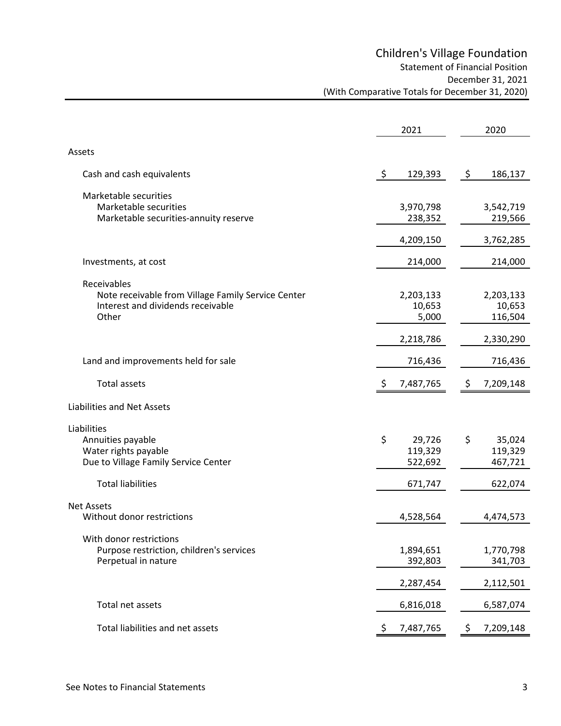|                                                    | 2021            | 2020            |
|----------------------------------------------------|-----------------|-----------------|
| Assets                                             |                 |                 |
| Cash and cash equivalents                          | \$<br>129,393   | \$<br>186,137   |
| Marketable securities                              |                 |                 |
| Marketable securities                              | 3,970,798       | 3,542,719       |
| Marketable securities-annuity reserve              | 238,352         | 219,566         |
|                                                    | 4,209,150       | 3,762,285       |
| Investments, at cost                               | 214,000         | 214,000         |
| Receivables                                        |                 |                 |
| Note receivable from Village Family Service Center | 2,203,133       | 2,203,133       |
| Interest and dividends receivable                  | 10,653          | 10,653          |
| Other                                              | 5,000           | 116,504         |
|                                                    | 2,218,786       | 2,330,290       |
| Land and improvements held for sale                | 716,436         | 716,436         |
| <b>Total assets</b>                                | 7,487,765<br>-Ş | 7,209,148<br>\$ |
| <b>Liabilities and Net Assets</b>                  |                 |                 |
| Liabilities                                        |                 |                 |
| Annuities payable                                  | \$<br>29,726    | 35,024          |
|                                                    | 119,329         | \$<br>119,329   |
| Water rights payable                               |                 |                 |
| Due to Village Family Service Center               | 522,692         | 467,721         |
| <b>Total liabilities</b>                           | 671,747         | 622,074         |
| <b>Net Assets</b>                                  |                 |                 |
| Without donor restrictions                         | 4,528,564       | 4,474,573       |
| With donor restrictions                            |                 |                 |
| Purpose restriction, children's services           | 1,894,651       | 1,770,798       |
| Perpetual in nature                                | 392,803         | 341,703         |
|                                                    |                 |                 |
|                                                    | 2,287,454       | 2,112,501       |
| Total net assets                                   | 6,816,018       | 6,587,074       |
| Total liabilities and net assets                   | 7,487,765<br>\$ | 7,209,148<br>\$ |
|                                                    |                 |                 |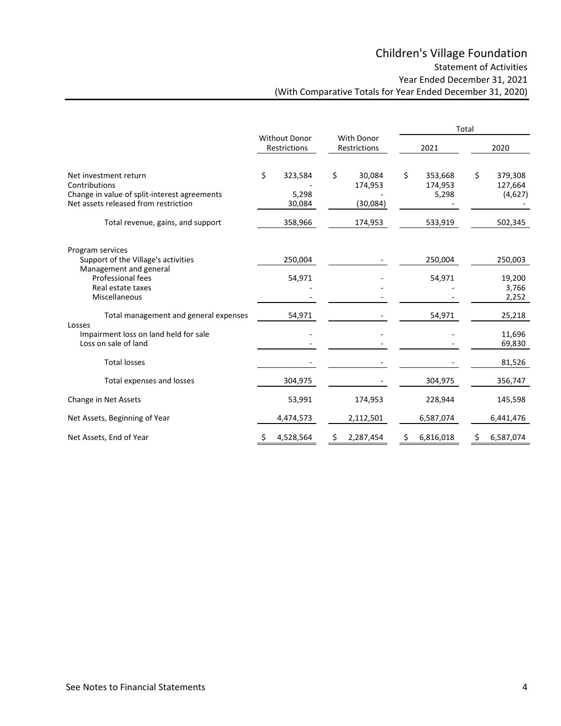## Children's Village Foundation

Statement of Activities

Year Ended December 31, 2021

(With Comparative Totals for Year Ended December 31, 2020)

|                                                                                                                                                                     | <b>Without Donor</b><br><b>With Donor</b><br>2021<br>Restrictions<br>Restrictions |                                                | Total                                        |                                                |  |  |
|---------------------------------------------------------------------------------------------------------------------------------------------------------------------|-----------------------------------------------------------------------------------|------------------------------------------------|----------------------------------------------|------------------------------------------------|--|--|
|                                                                                                                                                                     |                                                                                   |                                                | 2020                                         |                                                |  |  |
| Net investment return<br>Contributions<br>Change in value of split-interest agreements<br>Net assets released from restriction<br>Total revenue, gains, and support | \$<br>323,584<br>5,298<br>30,084<br>358,966                                       | \$<br>30,084<br>174,953<br>(30,084)<br>174,953 | \$<br>353,668<br>174,953<br>5,298<br>533,919 | \$<br>379,308<br>127,664<br>(4,627)<br>502,345 |  |  |
| Program services<br>Support of the Village's activities<br>Management and general                                                                                   | 250,004                                                                           |                                                | 250,004                                      | 250,003                                        |  |  |
| Professional fees<br>Real estate taxes<br>Miscellaneous                                                                                                             | 54,971                                                                            |                                                | 54,971                                       | 19,200<br>3,766<br>2,252                       |  |  |
| Total management and general expenses<br>Losses                                                                                                                     | 54,971                                                                            |                                                | 54,971                                       | 25,218                                         |  |  |
| Impairment loss on land held for sale<br>Loss on sale of land                                                                                                       |                                                                                   |                                                |                                              | 11,696<br>69,830                               |  |  |
| <b>Total losses</b>                                                                                                                                                 |                                                                                   |                                                |                                              | 81,526                                         |  |  |
| Total expenses and losses                                                                                                                                           | 304,975                                                                           |                                                | 304,975                                      | 356,747                                        |  |  |
| Change in Net Assets                                                                                                                                                | 53,991                                                                            | 174,953                                        | 228,944                                      | 145,598                                        |  |  |
| Net Assets, Beginning of Year                                                                                                                                       | 4,474,573                                                                         | 2,112,501                                      | 6,587,074                                    | 6,441,476                                      |  |  |
| Net Assets, End of Year                                                                                                                                             | 4,528,564                                                                         | 2,287,454<br>\$.                               | 6,816,018<br>\$.                             | 6,587,074<br>\$.                               |  |  |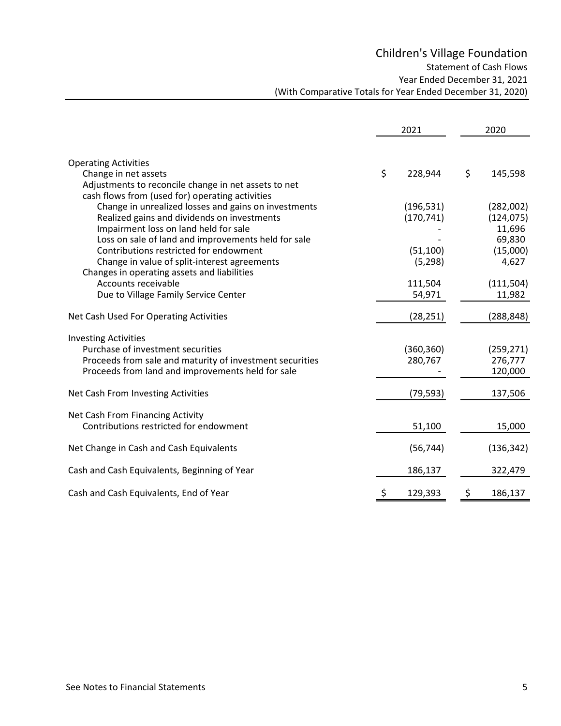# Children's Village Foundation

Statement of Cash Flows

Year Ended December 31, 2021

(With Comparative Totals for Year Ended December 31, 2020)

Ξ

|                                                                                                                                                                                                                                                        | 2021                     | 2020 |                                             |  |
|--------------------------------------------------------------------------------------------------------------------------------------------------------------------------------------------------------------------------------------------------------|--------------------------|------|---------------------------------------------|--|
| <b>Operating Activities</b><br>Change in net assets<br>Adjustments to reconcile change in net assets to net                                                                                                                                            | \$<br>228,944            | \$   | 145,598                                     |  |
| cash flows from (used for) operating activities<br>Change in unrealized losses and gains on investments<br>Realized gains and dividends on investments<br>Impairment loss on land held for sale<br>Loss on sale of land and improvements held for sale | (196, 531)<br>(170, 741) |      | (282,002)<br>(124, 075)<br>11,696<br>69,830 |  |
| Contributions restricted for endowment<br>Change in value of split-interest agreements<br>Changes in operating assets and liabilities                                                                                                                  | (51, 100)<br>(5, 298)    |      | (15,000)<br>4,627                           |  |
| Accounts receivable<br>Due to Village Family Service Center                                                                                                                                                                                            | 111,504<br>54,971        |      | (111, 504)<br>11,982                        |  |
| Net Cash Used For Operating Activities                                                                                                                                                                                                                 | (28, 251)                |      | (288, 848)                                  |  |
| <b>Investing Activities</b><br>Purchase of investment securities<br>Proceeds from sale and maturity of investment securities<br>Proceeds from land and improvements held for sale                                                                      | (360, 360)<br>280,767    |      | (259, 271)<br>276,777<br>120,000            |  |
| Net Cash From Investing Activities                                                                                                                                                                                                                     | (79, 593)                |      | 137,506                                     |  |
| Net Cash From Financing Activity<br>Contributions restricted for endowment                                                                                                                                                                             | 51,100                   |      | 15,000                                      |  |
| Net Change in Cash and Cash Equivalents                                                                                                                                                                                                                | (56, 744)                |      | (136, 342)                                  |  |
| Cash and Cash Equivalents, Beginning of Year                                                                                                                                                                                                           | 186,137                  |      | 322,479                                     |  |
| Cash and Cash Equivalents, End of Year                                                                                                                                                                                                                 | \$<br>129,393            | \$   | 186,137                                     |  |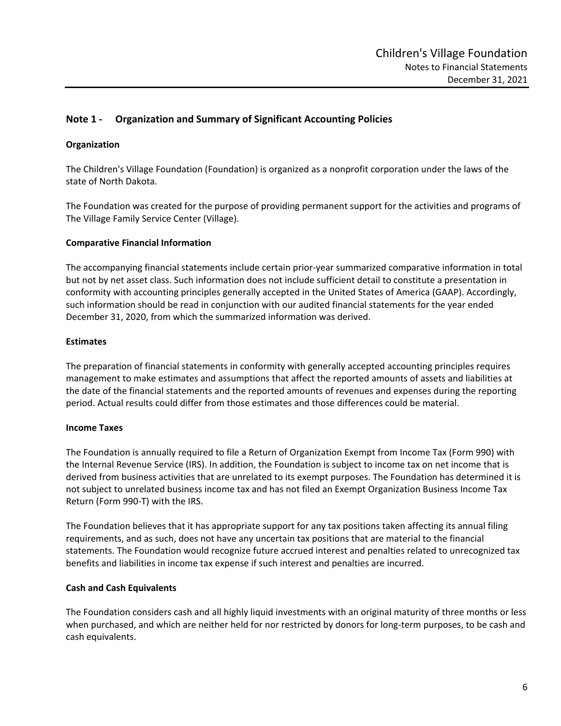## **Note 1 ‐ Organization and Summary of Significant Accounting Policies**

## **Organization**

The Children's Village Foundation (Foundation) is organized as a nonprofit corporation under the laws of the state of North Dakota.

The Foundation was created for the purpose of providing permanent support for the activities and programs of The Village Family Service Center (Village).

## **Comparative Financial Information**

The accompanying financial statements include certain prior‐year summarized comparative information in total but not by net asset class. Such information does not include sufficient detail to constitute a presentation in conformity with accounting principles generally accepted in the United States of America (GAAP). Accordingly, such information should be read in conjunction with our audited financial statements for the year ended December 31, 2020, from which the summarized information was derived.

#### **Estimates**

The preparation of financial statements in conformity with generally accepted accounting principles requires management to make estimates and assumptions that affect the reported amounts of assets and liabilities at the date of the financial statements and the reported amounts of revenues and expenses during the reporting period. Actual results could differ from those estimates and those differences could be material.

## **Income Taxes**

The Foundation is annually required to file a Return of Organization Exempt from Income Tax (Form 990) with the Internal Revenue Service (IRS). In addition, the Foundation is subject to income tax on net income that is derived from business activities that are unrelated to its exempt purposes. The Foundation has determined it is not subject to unrelated business income tax and has not filed an Exempt Organization Business Income Tax Return (Form 990‐T) with the IRS.

The Foundation believes that it has appropriate support for any tax positions taken affecting its annual filing requirements, and as such, does not have any uncertain tax positions that are material to the financial statements. The Foundation would recognize future accrued interest and penalties related to unrecognized tax benefits and liabilities in income tax expense if such interest and penalties are incurred.

## **Cash and Cash Equivalents**

The Foundation considers cash and all highly liquid investments with an original maturity of three months or less when purchased, and which are neither held for nor restricted by donors for long-term purposes, to be cash and cash equivalents.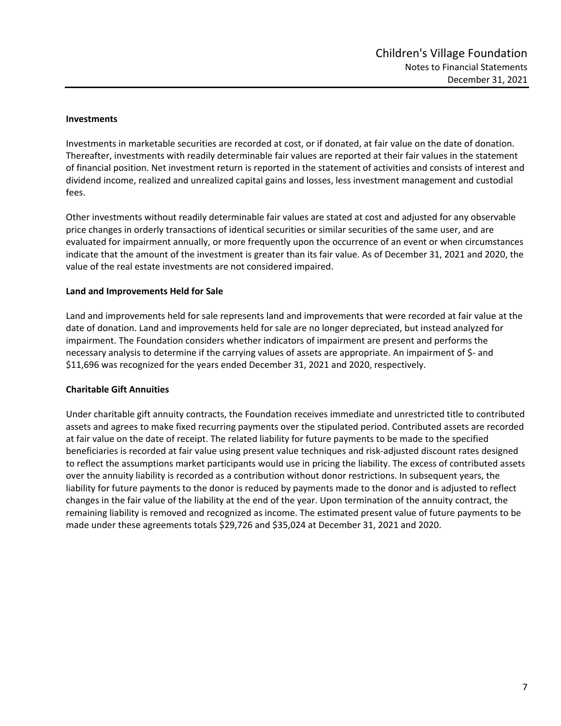## **Investments**

Investments in marketable securities are recorded at cost, or if donated, at fair value on the date of donation. Thereafter, investments with readily determinable fair values are reported at their fair values in the statement of financial position. Net investment return is reported in the statement of activities and consists of interest and dividend income, realized and unrealized capital gains and losses, less investment management and custodial fees.

Other investments without readily determinable fair values are stated at cost and adjusted for any observable price changes in orderly transactions of identical securities or similar securities of the same user, and are evaluated for impairment annually, or more frequently upon the occurrence of an event or when circumstances indicate that the amount of the investment is greater than its fair value. As of December 31, 2021 and 2020, the value of the real estate investments are not considered impaired.

## **Land and Improvements Held for Sale**

Land and improvements held for sale represents land and improvements that were recorded at fair value at the date of donation. Land and improvements held for sale are no longer depreciated, but instead analyzed for impairment. The Foundation considers whether indicators of impairment are present and performs the necessary analysis to determine if the carrying values of assets are appropriate. An impairment of \$‐ and \$11,696 was recognized for the years ended December 31, 2021 and 2020, respectively.

## **Charitable Gift Annuities**

Under charitable gift annuity contracts, the Foundation receives immediate and unrestricted title to contributed assets and agrees to make fixed recurring payments over the stipulated period. Contributed assets are recorded at fair value on the date of receipt. The related liability for future payments to be made to the specified beneficiaries is recorded at fair value using present value techniques and risk‐adjusted discount rates designed to reflect the assumptions market participants would use in pricing the liability. The excess of contributed assets over the annuity liability is recorded as a contribution without donor restrictions. In subsequent years, the liability for future payments to the donor is reduced by payments made to the donor and is adjusted to reflect changes in the fair value of the liability at the end of the year. Upon termination of the annuity contract, the remaining liability is removed and recognized as income. The estimated present value of future payments to be made under these agreements totals \$29,726 and \$35,024 at December 31, 2021 and 2020.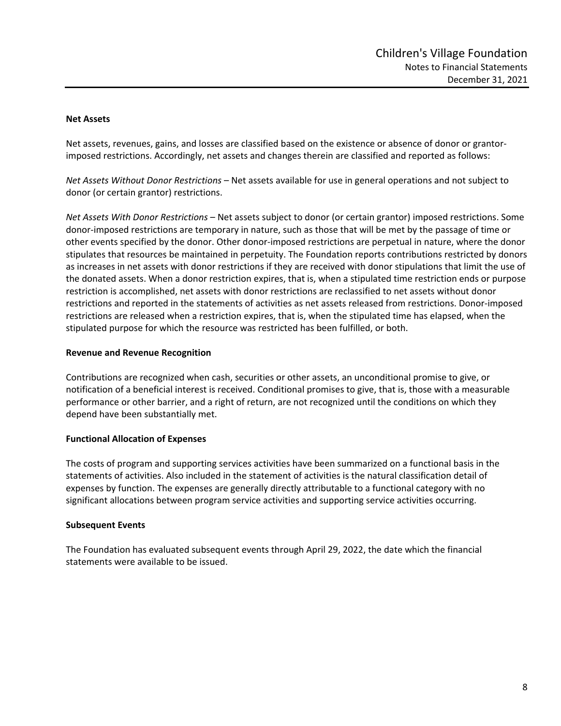## **Net Assets**

Net assets, revenues, gains, and losses are classified based on the existence or absence of donor or grantor‐ imposed restrictions. Accordingly, net assets and changes therein are classified and reported as follows:

*Net Assets Without Donor Restrictions* – Net assets available for use in general operations and not subject to donor (or certain grantor) restrictions.

*Net Assets With Donor Restrictions* – Net assets subject to donor (or certain grantor) imposed restrictions. Some donor‐imposed restrictions are temporary in nature, such as those that will be met by the passage of time or other events specified by the donor. Other donor‐imposed restrictions are perpetual in nature, where the donor stipulates that resources be maintained in perpetuity. The Foundation reports contributions restricted by donors as increases in net assets with donor restrictions if they are received with donor stipulations that limit the use of the donated assets. When a donor restriction expires, that is, when a stipulated time restriction ends or purpose restriction is accomplished, net assets with donor restrictions are reclassified to net assets without donor restrictions and reported in the statements of activities as net assets released from restrictions. Donor‐imposed restrictions are released when a restriction expires, that is, when the stipulated time has elapsed, when the stipulated purpose for which the resource was restricted has been fulfilled, or both.

#### **Revenue and Revenue Recognition**

Contributions are recognized when cash, securities or other assets, an unconditional promise to give, or notification of a beneficial interest is received. Conditional promises to give, that is, those with a measurable performance or other barrier, and a right of return, are not recognized until the conditions on which they depend have been substantially met.

## **Functional Allocation of Expenses**

The costs of program and supporting services activities have been summarized on a functional basis in the statements of activities. Also included in the statement of activities is the natural classification detail of expenses by function. The expenses are generally directly attributable to a functional category with no significant allocations between program service activities and supporting service activities occurring.

## **Subsequent Events**

The Foundation has evaluated subsequent events through April 29, 2022, the date which the financial statements were available to be issued.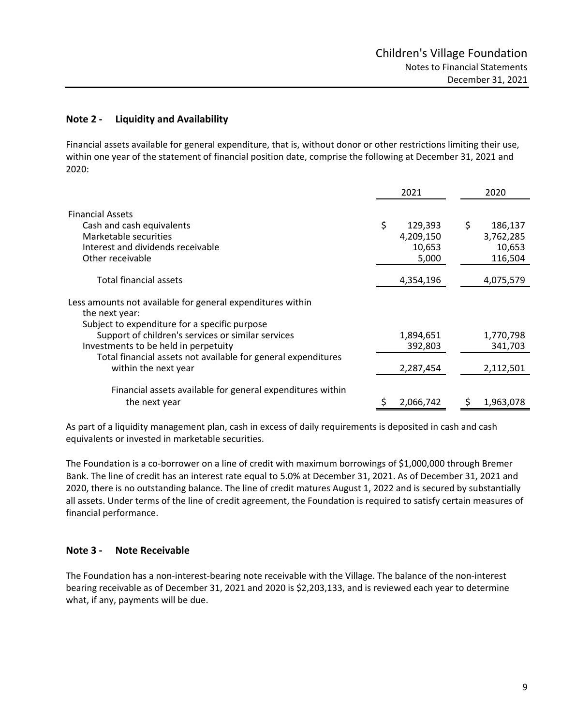## **Note 2 ‐ Liquidity and Availability**

Financial assets available for general expenditure, that is, without donor or other restrictions limiting their use, within one year of the statement of financial position date, comprise the following at December 31, 2021 and 2020:

|                                                               | 2021 |           |    | 2020      |
|---------------------------------------------------------------|------|-----------|----|-----------|
| <b>Financial Assets</b>                                       |      |           |    |           |
| Cash and cash equivalents                                     | \$   | 129,393   | \$ | 186,137   |
| Marketable securities                                         |      | 4,209,150 |    | 3,762,285 |
| Interest and dividends receivable                             |      | 10,653    |    | 10,653    |
| Other receivable                                              |      | 5,000     |    | 116,504   |
| Total financial assets                                        |      | 4,354,196 |    | 4,075,579 |
|                                                               |      |           |    |           |
| Less amounts not available for general expenditures within    |      |           |    |           |
| the next year:                                                |      |           |    |           |
| Subject to expenditure for a specific purpose                 |      |           |    |           |
| Support of children's services or similar services            |      | 1,894,651 |    | 1,770,798 |
| Investments to be held in perpetuity                          |      | 392,803   |    | 341,703   |
| Total financial assets not available for general expenditures |      |           |    |           |
| within the next year                                          |      | 2,287,454 |    | 2,112,501 |
|                                                               |      |           |    |           |
| Financial assets available for general expenditures within    |      |           |    |           |
| the next year                                                 |      | 2,066,742 |    | 1,963,078 |

As part of a liquidity management plan, cash in excess of daily requirements is deposited in cash and cash equivalents or invested in marketable securities.

The Foundation is a co-borrower on a line of credit with maximum borrowings of \$1,000,000 through Bremer Bank. The line of credit has an interest rate equal to 5.0% at December 31, 2021. As of December 31, 2021 and 2020, there is no outstanding balance. The line of credit matures August 1, 2022 and is secured by substantially all assets. Under terms of the line of credit agreement, the Foundation is required to satisfy certain measures of financial performance.

## **Note 3 ‐ Note Receivable**

The Foundation has a non-interest-bearing note receivable with the Village. The balance of the non-interest bearing receivable as of December 31, 2021 and 2020 is \$2,203,133, and is reviewed each year to determine what, if any, payments will be due.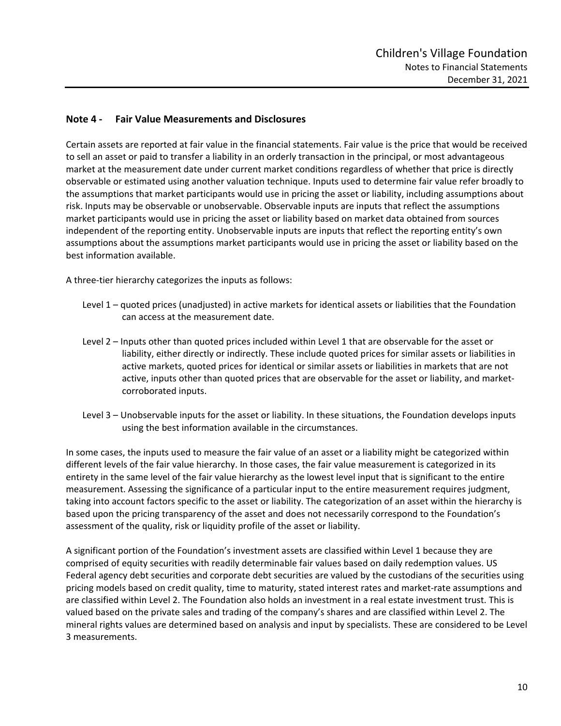## **Note 4 ‐ Fair Value Measurements and Disclosures**

Certain assets are reported at fair value in the financial statements. Fair value is the price that would be received to sell an asset or paid to transfer a liability in an orderly transaction in the principal, or most advantageous market at the measurement date under current market conditions regardless of whether that price is directly observable or estimated using another valuation technique. Inputs used to determine fair value refer broadly to the assumptions that market participants would use in pricing the asset or liability, including assumptions about risk. Inputs may be observable or unobservable. Observable inputs are inputs that reflect the assumptions market participants would use in pricing the asset or liability based on market data obtained from sources independent of the reporting entity. Unobservable inputs are inputs that reflect the reporting entity's own assumptions about the assumptions market participants would use in pricing the asset or liability based on the best information available.

A three‐tier hierarchy categorizes the inputs as follows:

- Level 1 quoted prices (unadjusted) in active markets for identical assets or liabilities that the Foundation can access at the measurement date.
- Level 2 Inputs other than quoted prices included within Level 1 that are observable for the asset or liability, either directly or indirectly. These include quoted prices for similar assets or liabilities in active markets, quoted prices for identical or similar assets or liabilities in markets that are not active, inputs other than quoted prices that are observable for the asset or liability, and market‐ corroborated inputs.
- Level 3 Unobservable inputs for the asset or liability. In these situations, the Foundation develops inputs using the best information available in the circumstances.

In some cases, the inputs used to measure the fair value of an asset or a liability might be categorized within different levels of the fair value hierarchy. In those cases, the fair value measurement is categorized in its entirety in the same level of the fair value hierarchy as the lowest level input that is significant to the entire measurement. Assessing the significance of a particular input to the entire measurement requires judgment, taking into account factors specific to the asset or liability. The categorization of an asset within the hierarchy is based upon the pricing transparency of the asset and does not necessarily correspond to the Foundation's assessment of the quality, risk or liquidity profile of the asset or liability.

A significant portion of the Foundation's investment assets are classified within Level 1 because they are comprised of equity securities with readily determinable fair values based on daily redemption values. US Federal agency debt securities and corporate debt securities are valued by the custodians of the securities using pricing models based on credit quality, time to maturity, stated interest rates and market‐rate assumptions and are classified within Level 2. The Foundation also holds an investment in a real estate investment trust. This is valued based on the private sales and trading of the company's shares and are classified within Level 2. The mineral rights values are determined based on analysis and input by specialists. These are considered to be Level 3 measurements.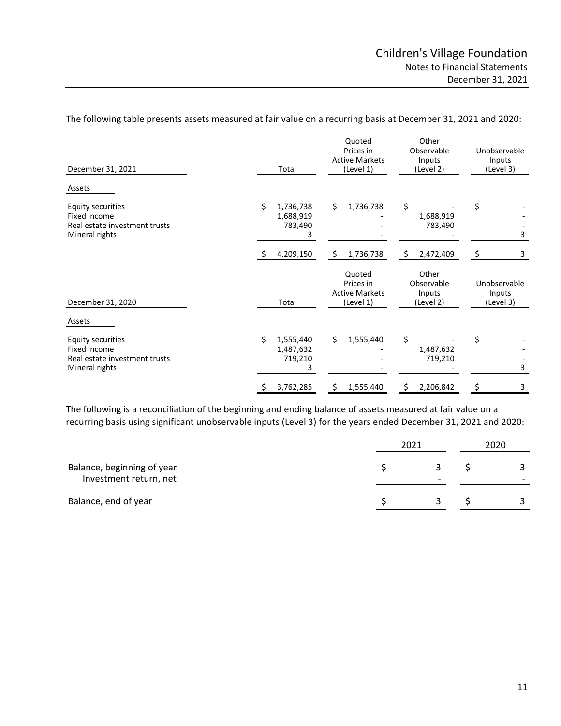| December 31, 2021                                                                    | Total                                        |    | Quoted<br>Prices in<br><b>Active Markets</b><br>(Level 1) | Other<br>Observable<br>Inputs<br>(Level 2) | Unobservable<br>Inputs<br>(Level 3) |
|--------------------------------------------------------------------------------------|----------------------------------------------|----|-----------------------------------------------------------|--------------------------------------------|-------------------------------------|
| Assets                                                                               |                                              |    |                                                           |                                            |                                     |
| Equity securities<br>Fixed income<br>Real estate investment trusts<br>Mineral rights | \$<br>1,736,738<br>1,688,919<br>783,490<br>3 | \$ | 1,736,738                                                 | \$<br>1,688,919<br>783,490                 | \$<br>3                             |
|                                                                                      | 4,209,150                                    | S. | 1,736,738                                                 | \$<br>2,472,409                            | \$<br>3                             |
| December 31, 2020                                                                    | Total                                        |    | Quoted<br>Prices in<br><b>Active Markets</b><br>(Level 1) | Other<br>Observable<br>Inputs<br>(Level 2) | Unobservable<br>Inputs<br>(Level 3) |
| Assets                                                                               |                                              |    |                                                           |                                            |                                     |
| Equity securities<br>Fixed income<br>Real estate investment trusts<br>Mineral rights | \$<br>1,555,440<br>1,487,632<br>719,210<br>3 | \$ | 1,555,440                                                 | \$<br>1,487,632<br>719,210                 | \$<br>3                             |
|                                                                                      | \$<br>3,762,285                              | \$ | 1,555,440                                                 | \$<br>2,206,842                            | \$<br>3                             |

The following table presents assets measured at fair value on a recurring basis at December 31, 2021 and 2020:

The following is a reconciliation of the beginning and ending balance of assets measured at fair value on a recurring basis using significant unobservable inputs (Level 3) for the years ended December 31, 2021 and 2020:

|                                                      | 2021 |                               | 2020 |  |
|------------------------------------------------------|------|-------------------------------|------|--|
| Balance, beginning of year<br>Investment return, net |      | 3<br>$\overline{\phantom{0}}$ |      |  |
| Balance, end of year                                 |      |                               |      |  |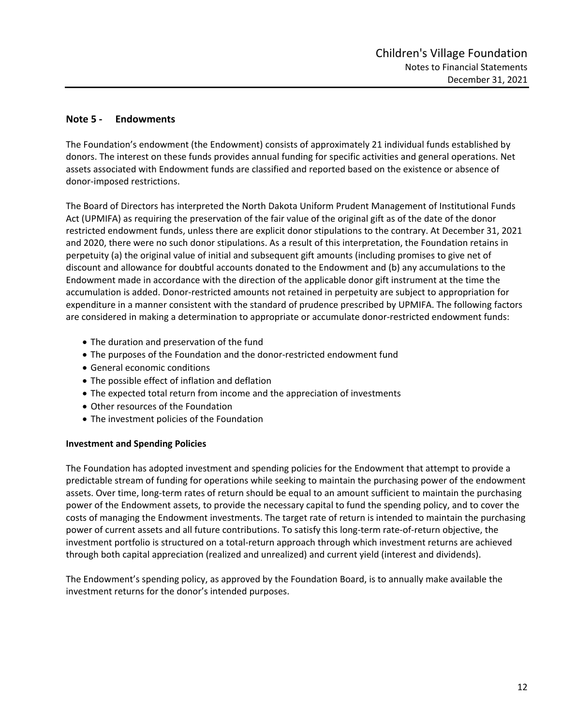## **Note 5 ‐ Endowments**

The Foundation's endowment (the Endowment) consists of approximately 21 individual funds established by donors. The interest on these funds provides annual funding for specific activities and general operations. Net assets associated with Endowment funds are classified and reported based on the existence or absence of donor‐imposed restrictions.

The Board of Directors has interpreted the North Dakota Uniform Prudent Management of Institutional Funds Act (UPMIFA) as requiring the preservation of the fair value of the original gift as of the date of the donor restricted endowment funds, unless there are explicit donor stipulations to the contrary. At December 31, 2021 and 2020, there were no such donor stipulations. As a result of this interpretation, the Foundation retains in perpetuity (a) the original value of initial and subsequent gift amounts (including promises to give net of discount and allowance for doubtful accounts donated to the Endowment and (b) any accumulations to the Endowment made in accordance with the direction of the applicable donor gift instrument at the time the accumulation is added. Donor‐restricted amounts not retained in perpetuity are subject to appropriation for expenditure in a manner consistent with the standard of prudence prescribed by UPMIFA. The following factors are considered in making a determination to appropriate or accumulate donor-restricted endowment funds:

- The duration and preservation of the fund
- The purposes of the Foundation and the donor‐restricted endowment fund
- General economic conditions
- The possible effect of inflation and deflation
- The expected total return from income and the appreciation of investments
- Other resources of the Foundation
- The investment policies of the Foundation

## **Investment and Spending Policies**

The Foundation has adopted investment and spending policies for the Endowment that attempt to provide a predictable stream of funding for operations while seeking to maintain the purchasing power of the endowment assets. Over time, long-term rates of return should be equal to an amount sufficient to maintain the purchasing power of the Endowment assets, to provide the necessary capital to fund the spending policy, and to cover the costs of managing the Endowment investments. The target rate of return is intended to maintain the purchasing power of current assets and all future contributions. To satisfy this long-term rate-of-return objective, the investment portfolio is structured on a total‐return approach through which investment returns are achieved through both capital appreciation (realized and unrealized) and current yield (interest and dividends).

The Endowment's spending policy, as approved by the Foundation Board, is to annually make available the investment returns for the donor's intended purposes.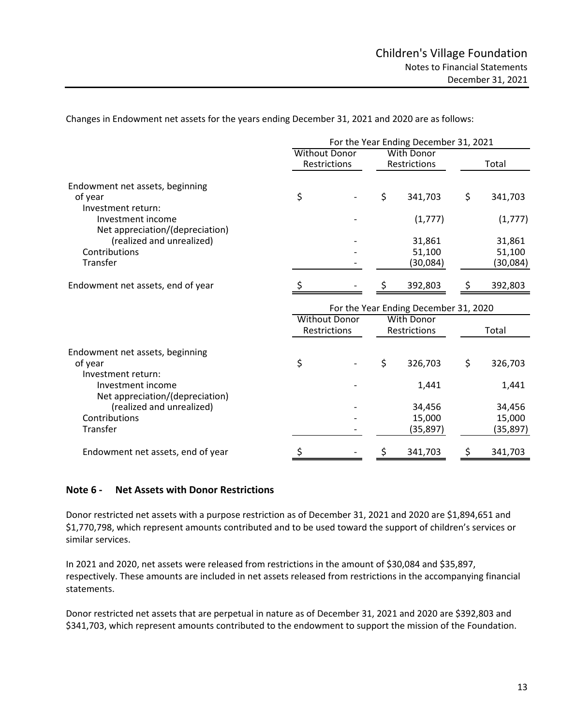Without Donor<br>Restrictions Restrictions Restrictions Restrictions Total Endowment net assets, beginning of year ‐ \$ \$ 341,703 \$ 341,703 Investment return: Investment income (1,777) (1,777) Net appreciation/(depreciation) (realized and unrealized) ‐ 31,861 31,861 Contributions ‐ 51,100 51,100 Transfer ‐ (30,084) (30,084) Endowment net assets, end of year  $\begin{array}{ccc} 5 & - & 5 & 392,803 & 5 & 392,803 \end{array}$ Without Donor With Donor Restrictions Restrictions Total Endowment net assets, beginning of year ‐ \$ \$ 326,703 \$ 326,703 Investment return: Investment income  $1,441$   $1,441$   $1,441$ Net appreciation/(depreciation) (realized and unrealized) ‐ 34,456 34,456 Contributions ‐ 15,000 15,000 Transfer (35,897) (35,897) Endowment net assets, end of year  $\begin{array}{ccc} \text{S} & \text{S} & \text{S} & \text{S} \\ \text{S} & \text{S} & \text{S} & \text{S} \end{array}$   $\begin{array}{ccc} 341,703 & \text{S} & \text{S} \\ \text{S} & \text{S} & \text{S} \end{array}$ For the Year Ending December 31, 2021 For the Year Ending December 31, 2020

Changes in Endowment net assets for the years ending December 31, 2021 and 2020 are as follows:

## **Note 6 ‐ Net Assets with Donor Restrictions**

Donor restricted net assets with a purpose restriction as of December 31, 2021 and 2020 are \$1,894,651 and \$1,770,798, which represent amounts contributed and to be used toward the support of children's services or similar services.

In 2021 and 2020, net assets were released from restrictions in the amount of \$30,084 and \$35,897, respectively. These amounts are included in net assets released from restrictions in the accompanying financial statements.

Donor restricted net assets that are perpetual in nature as of December 31, 2021 and 2020 are \$392,803 and \$341,703, which represent amounts contributed to the endowment to support the mission of the Foundation.